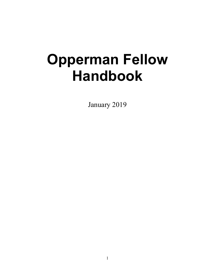# **Opperman Fellow Handbook**

January 2019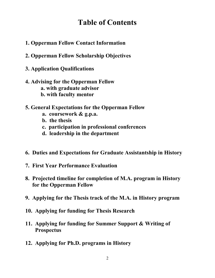### **Table of Contents**

- **1. Opperman Fellow Contact Information**
- **2. Opperman Fellow Scholarship Objectives**
- **3. Application Qualifications**
- **4. Advising for the Opperman Fellow a. with graduate advisor b. with faculty mentor**
- **5. General Expectations for the Opperman Fellow**
	- **a. coursework & g.p.a.**
	- **b. the thesis**
	- **c. participation in professional conferences**
	- **d. leadership in the department**
- **6. Duties and Expectations for Graduate Assistantship in History**
- **7. First Year Performance Evaluation**
- **8. Projected timeline for completion of M.A. program in History for the Opperman Fellow**
- **9. Applying for the Thesis track of the M.A. in History program**
- **10. Applying for funding for Thesis Research**
- **11. Applying for funding for Summer Support & Writing of Prospectus**
- **12. Applying for Ph.D. programs in History**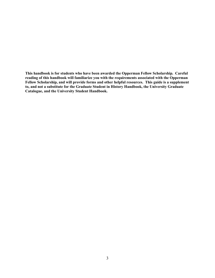**This handbook is for students who have been awarded the Opperman Fellow Scholarship. Careful reading of this handbook will familiarize you with the requirements associated with the Opperman Fellow Scholarship, and will provide forms and other helpful resources. This guide is a supplement to, and not a substitute for the Graduate Student in History Handbook, the University Graduate Catalogue, and the University Student Handbook.**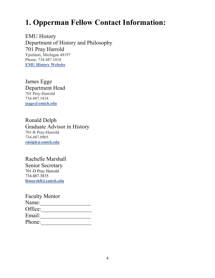# **1. Opperman Fellow Contact Information:**

EMU History Department of History and Philosophy 701 Pray Harrold Ypsilanti, Michigan 48197 Phone: 734.487.1018 **[EMU History Website](https://www.emich.edu/historyphilosophy/history/index.php)**

James Egge Department Head 701 Pray-Harrold 734.487.1018 **[jegge@emich.edu](mailto:jegge@emich.edu)**

Ronald Delph Graduate Advisor in History 701-R Pray-Harrold 734.487.0905 **[rdelph@emich.edu](mailto:rdelph@emich.edu)**

#### Rachelle Marshall

Senior Secretary 701-D Pray Harrold 734.487.3835 **[Rmarsh8@emich.edu](mailto:Rmarsh8@emich.edu)**

Faculty Mentor Name:\_\_\_\_\_\_\_\_\_\_\_\_\_\_\_\_\_\_ Office:\_\_\_\_\_\_\_\_\_\_\_\_\_\_\_\_\_\_ Email:\_\_\_\_\_\_\_\_\_\_\_\_\_\_\_\_\_\_ Phone:\_\_\_\_\_\_\_\_\_\_\_\_\_\_\_\_\_\_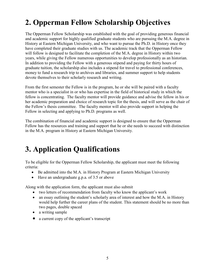# **2. Opperman Fellow Scholarship Objectives**

The Opperman Fellow Scholarship was established with the goal of providing generous financial and academic support for highly qualified graduate students who are pursuing the M.A. degree in History at Eastern Michigan University, and who want to pursue the Ph.D. in History once they have completed their graduate studies with us. The academic track that the Opperman Fellow will follow is designed to facilitate the completion of the M.A. degree in History within two years, while giving the Fellow numerous opportunities to develop professionally as an historian. In addition to providing the Fellow with a generous stipend and paying for thirty hours of graduate tuition, the scholarship also includes a stipend for travel to professional conferences, money to fund a research trip to archives and libraries, and summer support to help students devote themselves to their scholarly research and writing.

From the first semester the Fellow is in the program, he or she will be paired with a faculty mentor who is a specialist in or who has expertise in the field of historical study in which the fellow is concentrating. The faculty mentor will provide guidance and advise the fellow in his or her academic preparation and choice of research topic for the thesis, and will serve as the chair of the Fellow's thesis committee. The faculty mentor will also provide support in helping the Fellow in selecting and applying to Ph.D. programs as well.

The combination of financial and academic support is designed to ensure that the Opperman Fellow has the resources and training and support that he or she needs to succeed with distinction in the M.A. program in History at Eastern Michigan University.

## **3. Application Qualifications**

To be eligible for the Opperman Fellow Scholarship, the applicant must meet the following criteria:

- Be admitted into the M.A. in History Program at Eastern Michigan University
- Have an undergraduate g.p.a. of 3.5 or above

Along with the application form, the applicant must also submit

- two letters of recommendation from faculty who know the applicant's work
- an essay outlining the student's scholarly area of interest and how the M.A. in History would help further the career plans of the student. This statement should be no more than two pages, double spaced
- a writing sample
- a current copy of the applicant's transcript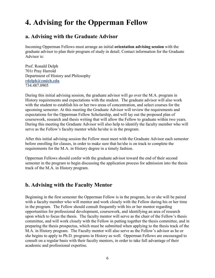### **4. Advising for the Opperman Fellow**

#### **a. Advising with the Graduate Advisor**

Incoming Opperman Fellows must arrange an initial **orientation advising session** with the graduate advisor to plan their program of study in detail. Contact information for the Graduate Advisor is:

Prof. Ronald Delph 701r Pray Harrold Department of History and Philosophy **[rdelph@emich.edu](mailto:rdelph@emich.edu)** 734.487.0905

During this initial advising session, the graduate advisor will go over the M.A. program in History requirements and expectations with the student. The graduate advisor will also work with the student to establish his or her two areas of concentration, and select courses for the upcoming semester. At this meeting the Graduate Advisor will review the requirements and expectations for the Opperman Fellow Scholarship, and will lay out the proposed plan of coursework, research and thesis writing that will allow the Fellow to graduate within two years. During this meeting the Graduate Advisor will also help to identify the faculty member who will serve as the Fellow's faculty mentor while he/she is in the program.

After this initial advising session the Fellow must meet with the Graduate Advisor each semester before enrolling for classes, in order to make sure that he/she is on track to complete the requirements for the M.A. in History degree in a timely fashion.

Opperman Fellows should confer with the graduate advisor toward the end of their second semester in the program to begin discussing the application process for admission into the thesis track of the M.A. in History program.

#### **b. Advising with the Faculty Mentor**

Beginning in the first semester the Opperman Fellow is in the program, he or she will be paired with a faculty member who will mentor and work closely with the Fellow during his or her time in the program. The Fellow should consult frequently with his or her mentor regarding opportunities for professional development, coursework, and identifying an area of research upon which to focus the thesis. The faculty mentor will serve as the chair of the Fellow's thesis committee, and will work closely with the Fellow in putting together the thesis committee, and in preparing the thesis prospectus, which must be submitted when applying to the thesis track of the M.A. in History program. The Faculty mentor will also serve as the Fellow's advisor as he or she begins to apply to Ph.D. programs in History as well. Opperman Fellows are encouraged to consult on a regular basis with their faculty mentors, in order to take full advantage of their academic and professional expertise.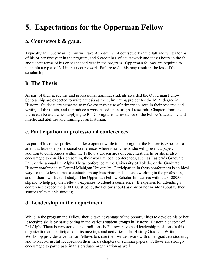### **5. Expectations for the Opperman Fellow**

### **a. Coursework & g.p.a.**

Typically an Opperman Fellow will take 9 credit hrs. of coursework in the fall and winter terms of his or her first year in the program, and 6 credit hrs. of coursework and thesis hours in the fall and winter terms of his or her second year in the program. Opperman fellows are required to maintain a g.p.a. of 3.5 in their coursework. Failure to do this may result in the loss of the scholarship.

#### **b. The Thesis**

As part of their academic and professional training, students awarded the Opperman Fellow Scholarship are expected to write a thesis as the culminating project for the M.A. degree in History. Students are expected to make extensive use of primary sources in their research and writing of the thesis, and to produce a work based upon original research. Chapters from the thesis can be used when applying to Ph.D. programs, as evidence of the Fellow's academic and intellectual abilities and training as an historian.

### **c. Participation in professional conferences**

As part of his or her professional development while in the program, the Fellow is expected to attend at least one professional conference, where ideally he or she will present a paper. In addition to conferences within the Fellow's chosen area of concentration, he or she is also encouraged to consider presenting their work at local conferences, such as Eastern's Graduate Fair, or the annual Phi Alpha Theta conference at the University of Toledo, or the Graduate History conference at Central Michigan University. Participation in these conferences is an ideal way for the fellow to make contacts among historians and students working in the profession, and in their own field of study. The Opperman Fellow Scholarship carries with it a \$1000.00 stipend to help pay the Fellow's expenses to attend a conference. If expenses for attending a conference exceed the \$1000.00 stipend, the Fellow should ask his or her mentor about further sources of available funding.

### **d. Leadership in the department**

While in the program the Fellow should take advantage of the opportunities to develop his or her leadership skills by participating in the various student groups in History. Eastern's chapter of Phi Alpha Theta is very active, and traditionally Fellows have held leadership positions in this organization and participated in its meetings and activities. The History Graduate Writing Workshop provides a venue for Fellows to share their written work with other graduate students, and to receive useful feedback on their thesis chapters or seminar papers. Fellows are strongly encouraged to participate in this graduate organization as well.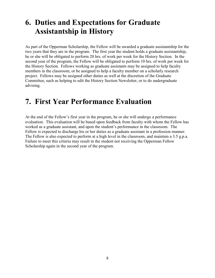### **6. Duties and Expectations for Graduate Assistantship in History**

As part of the Opperman Scholarship, the Fellow will be awarded a graduate assistantship for the two years that they are in the program. The first year the student holds a graduate assistantship, he or she will be obligated to perform 20 hrs. of work per week for the History Section. In the second year of the program, the Fellow will be obligated to perform 10 hrs. of work per week for the History Section. Fellows working as graduate assistants may be assigned to help faculty members in the classroom, or be assigned to help a faculty member on a scholarly research project. Fellows may be assigned other duties as well at the discretion of the Graduate Committee, such as helping to edit the History Section Newsletter, or to do undergraduate advising.

### **7. First Year Performance Evaluation**

At the end of the Fellow's first year in the program, he or she will undergo a performance evaluation. This evaluation will be based upon feedback from faculty with whom the Fellow has worked as a graduate assistant, and upon the student's performance in the classroom. The Fellow is expected to discharge his or her duties as a graduate assistant in a profession manner. The Fellow is also expected to perform at a high level in the classroom, and maintain a 3.5 g.p.a. Failure to meet this criteria may result in the student not receiving the Opperman Fellow Scholarship again in the second year of the program.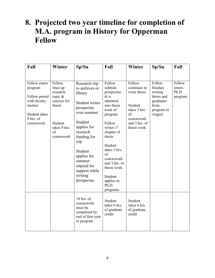### **8. Projected two year timeline for completion of M.A. program in History for Opperman Fellow**

| Fall                                                                                                            | Winter                                                                                                               | Sp/Su                                                                                                                                                                                                                                                      | Fall                                                                                                                                                                                                                                                                     | Winter                                                                                                                | Sp/Su                                                                                    | Fall                                 |
|-----------------------------------------------------------------------------------------------------------------|----------------------------------------------------------------------------------------------------------------------|------------------------------------------------------------------------------------------------------------------------------------------------------------------------------------------------------------------------------------------------------------|--------------------------------------------------------------------------------------------------------------------------------------------------------------------------------------------------------------------------------------------------------------------------|-----------------------------------------------------------------------------------------------------------------------|------------------------------------------------------------------------------------------|--------------------------------------|
| Fellow enters<br>program<br>Fellow paired<br>with faculty<br>mentor<br>Student takes<br>9 hrs. of<br>coursework | Fellow<br>lines up<br>research<br>topic $\&$<br>sources for<br>thesis<br>Student<br>takes 9 hrs.<br>of<br>coursework | Research trip<br>to archives or<br>library<br><b>Student writes</b><br>prospectus<br>over summer<br>Student<br>applies for<br>research<br>funding for<br>trip<br>Student<br>applies for<br>summer<br>stipend for<br>support while<br>writing<br>prospectus | Fellow<br>submits<br>prospectus<br>$\&$ is<br>admitted<br>into thesis<br>track of<br>program<br>Fellow<br>writes 1st<br>chapter of<br>thesis<br>Student<br>takes 3 hrs<br>of<br>coursework<br>and 3 hrs. of<br>thesis work<br>Student<br>applies to<br>Ph.D.<br>programs | Fellow<br>continues to<br>write thesis<br>Student<br>takes 3 hrs.<br>of<br>coursework<br>and 3 hrs. of<br>thesis work | Fellow<br>finishes<br>writing<br>thesis and<br>graduates<br>from<br>program in<br>August | Fellow<br>enters<br>Ph.D.<br>program |
|                                                                                                                 |                                                                                                                      | 18 hrs. of<br>coursework<br>must be<br>completed by<br>end of first year<br>in program                                                                                                                                                                     | Student<br>takes 6 hrs.<br>of graduate<br>credit                                                                                                                                                                                                                         | Student<br>takes 6 hrs.<br>of graduate<br>credit                                                                      |                                                                                          |                                      |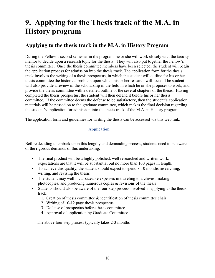### **9. Applying for the Thesis track of the M.A. in History program**

### **Applying to the thesis track in the M.A. in History Program**

During the Fellow's second semester in the program, he or she will work closely with the faculty mentor to decide upon a research topic for the thesis. They will also put together the Fellow's thesis committee. Once the thesis committee members have been selected, the student will begin the application process for admission into the thesis track. The application form for the thesis track involves the writing of a thesis prospectus, in which the student will outline for his or her thesis committee the historical problem upon which his or her research will focus. The student will also provide a review of the scholarship in the field in which he or she proposes to work, and provide the thesis committee with a detailed outline of the several chapters of the thesis. Having completed the thesis prospectus, the student will then defend it before his or her thesis committee. If the committee deems the defense to be satisfactory, then the student's application materials will be passed on to the graduate committee, which makes the final decision regarding the student's application for admission into the thesis track of the M.A. in History program.

The application form and guidelines for writing the thesis can be accessed via this web link:

#### **[Application](https://www.emich.edu/historyphilosophy/history/documents/mathesisapp.doc)**

Before deciding to embark upon this lengthy and demanding process, students need to be aware of the rigorous demands of this undertaking:

- The final product will be a highly polished, well researched and written work: expectations are that it will be substantial but no more than 100 pages in length.
- To achieve this quality, the student should expect to spend 8-10 months researching, writing, and revising the thesis
- The student may well incur sizeable expenses in traveling to archives, making photocopies, and producing numerous copies & revisions of the thesis
- Students should also be aware of the four-step process involved in applying to the thesis track:
	- 1. Creation of thesis committee  $\&$  identification of thesis committee chair
	- 2. Writing of 10-12 page thesis prospectus
	- 3. Defense of prospectus before thesis committee
	- 4. Approval of application by Graduate Committee

The above four step process typically takes 2-3 months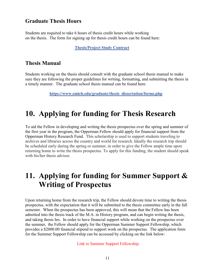#### **Graduate Thesis Hours**

Students are required to take 6 hours of thesis credit hours while working on the thesis. The form for signing up for thesis credit hours can be found here:

#### **[Thesis/Project Study Contract](https://www.emich.edu/historyphilosophy/history/advising/graduate-advising.php)**

#### **Thesis Manual**

Students working on the thesis should consult with the graduate school thesis manual to make sure they are following the proper guidelines for writing, formatting, and submitting the thesis in a timely manner. The graduate school thesis manual can be found here:

**[https://www.emich.edu/graduate/thesis\\_dissertation/forms.php](https://www.emich.edu/graduate/thesis_dissertation/forms.php)**

### **10. Applying for funding for Thesis Research**

To aid the Fellow in developing and writing the thesis prospectus over the spring and summer of the first year in the program, the Opperman Fellow should apply for financial support from the Opperman History Research Fund. This scholarship is used to support students traveling to archives and libraries across the country and world for research. Ideally the research trip should be scheduled early during the spring or summer, in order to give the Fellow ample time upon returning home to write the thesis prospectus. To apply for this funding, the student should speak with his/her thesis advisor.

### **11. Applying for funding for Summer Support & Writing of Prospectus**

Upon returning home from the research trip, the Fellow should devote time to writing the thesis prospectus, with the expectation that it will be submitted to the thesis committee early in the fall semester. When the prospectus has been approved, this will mean that the Fellow has been admitted into the thesis track of the M.A. in History program, and can begin writing the thesis, and taking thesis hrs. In order to have financial support while working on the prospectus over the summer, the Fellow should apply for the Opperman Summer Support Fellowship, which provides a \$2000.00 financial stipend to support work on the prospectus. The application form for the Summer Support Fellowship can be accessed by clicking on the link below:

Link to Summer Support Fellowship.